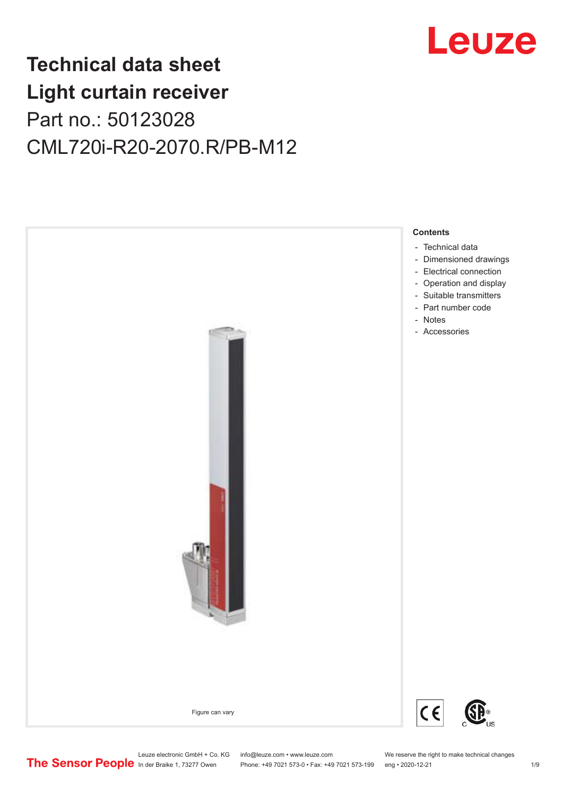

## **Technical data sheet Light curtain receiver** Part no.: 50123028 CML720i-R20-2070.R/PB-M12



Phone: +49 7021 573-0 • Fax: +49 7021 573-199 eng • 2020-12-21 1 2020-12-21

Leuze electronic GmbH + Co. KG info@leuze.com • www.leuze.com We reserve the right to make technical changes<br>
The Sensor People in der Braike 1, 73277 Owen Phone: +49 7021 573-0 • Fax: +49 7021 573-199 eng • 2020-12-21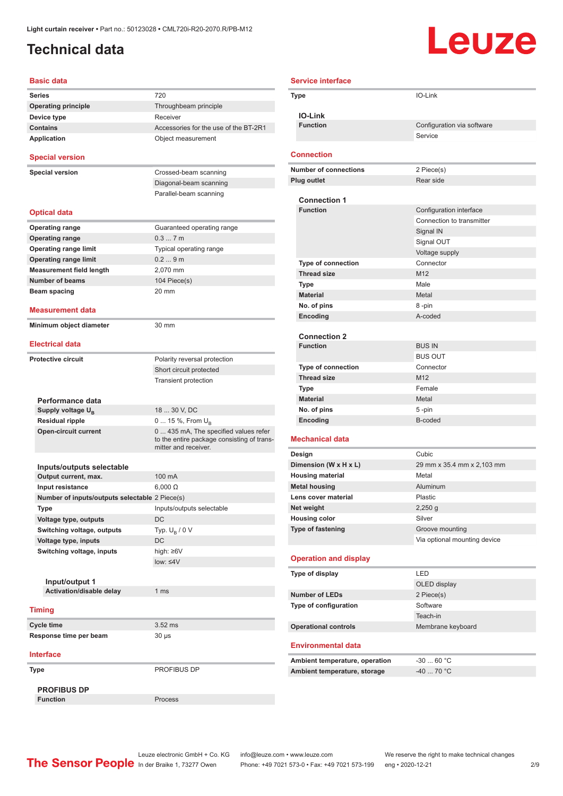### <span id="page-1-0"></span>**Technical data**

# Leuze

| <b>Basic data</b>                                  |                                                                                                             |
|----------------------------------------------------|-------------------------------------------------------------------------------------------------------------|
| <b>Series</b>                                      | 720                                                                                                         |
| <b>Operating principle</b>                         | Throughbeam principle                                                                                       |
| Device type                                        | Receiver                                                                                                    |
| <b>Contains</b>                                    | Accessories for the use of the BT-2R1                                                                       |
| <b>Application</b>                                 | Object measurement                                                                                          |
| <b>Special version</b>                             |                                                                                                             |
| <b>Special version</b>                             | Crossed-beam scanning                                                                                       |
|                                                    | Diagonal-beam scanning                                                                                      |
|                                                    | Parallel-beam scanning                                                                                      |
| <b>Optical data</b>                                |                                                                                                             |
| <b>Operating range</b>                             | Guaranteed operating range                                                                                  |
| <b>Operating range</b>                             | 0.37m                                                                                                       |
| <b>Operating range limit</b>                       | Typical operating range                                                                                     |
| <b>Operating range limit</b>                       | 0.29m                                                                                                       |
| <b>Measurement field length</b>                    | 2,070 mm                                                                                                    |
| <b>Number of beams</b>                             | 104 Piece(s)                                                                                                |
| Beam spacing                                       | $20 \text{ mm}$                                                                                             |
| <b>Measurement data</b>                            |                                                                                                             |
| Minimum object diameter                            | 30 mm                                                                                                       |
|                                                    |                                                                                                             |
| <b>Electrical data</b>                             |                                                                                                             |
| <b>Protective circuit</b>                          | Polarity reversal protection                                                                                |
|                                                    | Short circuit protected                                                                                     |
|                                                    | <b>Transient protection</b>                                                                                 |
| Performance data                                   |                                                                                                             |
| Supply voltage U <sub>B</sub>                      | 18  30 V, DC                                                                                                |
| <b>Residual ripple</b>                             | 0  15 %, From $U_{\rm B}$                                                                                   |
| <b>Open-circuit current</b>                        | 0  435 mA, The specified values refer<br>to the entire package consisting of trans-<br>mitter and receiver. |
| Inputs/outputs selectable                          |                                                                                                             |
| Output current, max.                               | 100 mA                                                                                                      |
| Input resistance                                   | $6,000 \Omega$                                                                                              |
| Number of inputs/outputs selectable 2 Piece(s)     |                                                                                                             |
|                                                    | Inputs/outputs selectable                                                                                   |
| Type<br>Voltage type, outputs                      | DC                                                                                                          |
|                                                    | Typ. $U_{\rm B}$ / 0 V                                                                                      |
| Switching voltage, outputs<br>Voltage type, inputs | DC                                                                                                          |
|                                                    |                                                                                                             |
| Switching voltage, inputs                          | high: ≥6V                                                                                                   |
|                                                    | $low: 4V$                                                                                                   |
| Input/output 1                                     |                                                                                                             |
| Activation/disable delay                           | 1 <sub>ms</sub>                                                                                             |
|                                                    |                                                                                                             |
| <b>Timing</b>                                      |                                                                                                             |
| <b>Cycle time</b>                                  | $3.52$ ms                                                                                                   |
| Response time per beam                             | 30 µs                                                                                                       |
| <b>Interface</b>                                   |                                                                                                             |
| Type                                               | PROFIBUS DP                                                                                                 |
| <b>PROFIBUS DP</b>                                 |                                                                                                             |
| <b>Function</b>                                    | Process                                                                                                     |

|                       | <b>Service interface</b>                         |                                       |  |
|-----------------------|--------------------------------------------------|---------------------------------------|--|
|                       | Type                                             | IO-Link                               |  |
|                       |                                                  |                                       |  |
|                       | <b>IO-Link</b>                                   |                                       |  |
|                       | <b>Function</b>                                  | Configuration via software<br>Service |  |
|                       |                                                  |                                       |  |
|                       | <b>Connection</b>                                |                                       |  |
|                       | <b>Number of connections</b>                     | 2 Piece(s)                            |  |
|                       | <b>Plug outlet</b>                               | Rear side                             |  |
|                       |                                                  |                                       |  |
|                       | <b>Connection 1</b>                              |                                       |  |
|                       | <b>Function</b>                                  | Configuration interface               |  |
|                       |                                                  | Connection to transmitter             |  |
|                       |                                                  | Signal IN<br>Signal OUT               |  |
|                       |                                                  | Voltage supply                        |  |
|                       | <b>Type of connection</b>                        | Connector                             |  |
|                       | <b>Thread size</b>                               | M <sub>12</sub>                       |  |
|                       | Type                                             | Male                                  |  |
|                       | <b>Material</b>                                  | Metal                                 |  |
|                       | No. of pins                                      | 8-pin                                 |  |
|                       | Encoding                                         | A-coded                               |  |
|                       |                                                  |                                       |  |
|                       | <b>Connection 2</b>                              |                                       |  |
|                       | <b>Function</b>                                  | <b>BUS IN</b>                         |  |
|                       |                                                  | <b>BUS OUT</b>                        |  |
|                       | <b>Type of connection</b>                        | Connector<br>M12                      |  |
|                       | <b>Thread size</b><br>Type                       | Female                                |  |
|                       | <b>Material</b>                                  | Metal                                 |  |
|                       | No. of pins                                      | 5-pin                                 |  |
|                       | Encoding                                         | B-coded                               |  |
|                       |                                                  |                                       |  |
|                       | <b>Mechanical data</b>                           |                                       |  |
|                       | Design                                           | Cubic                                 |  |
| Dimension (W x H x L) |                                                  | 29 mm x 35.4 mm x 2,103 mm            |  |
|                       | <b>Housing material</b>                          | Metal                                 |  |
|                       | <b>Metal housing</b>                             | Aluminum                              |  |
|                       | Lens cover material                              | Plastic                               |  |
|                       | Net weight                                       | $2,250$ g<br>Silver                   |  |
|                       | <b>Housing color</b><br><b>Type of fastening</b> | Groove mounting                       |  |
|                       |                                                  | Via optional mounting device          |  |
|                       |                                                  |                                       |  |
|                       | <b>Operation and display</b>                     |                                       |  |
|                       | Type of display                                  | LED                                   |  |
|                       |                                                  | OLED display                          |  |
|                       | <b>Number of LEDs</b>                            | 2 Piece(s)                            |  |
|                       | Type of configuration                            | Software                              |  |
|                       |                                                  | Teach-in                              |  |
|                       | <b>Operational controls</b>                      | Membrane keyboard                     |  |
|                       | <b>Environmental data</b>                        |                                       |  |
|                       | Ambient temperature, operation                   | $-3060 °C$                            |  |
|                       | Ambient temperature, storage                     | $-40$ 70 °C                           |  |
|                       |                                                  |                                       |  |

Leuze electronic GmbH + Co. KG info@leuze.com • www.leuze.com We reserve the right to make technical changes

In der Braike 1, 73277 Owen Phone: +49 7021 573-0 • Fax: +49 7021 573-199 eng • 2020-12-21 299 Phone: +49 7021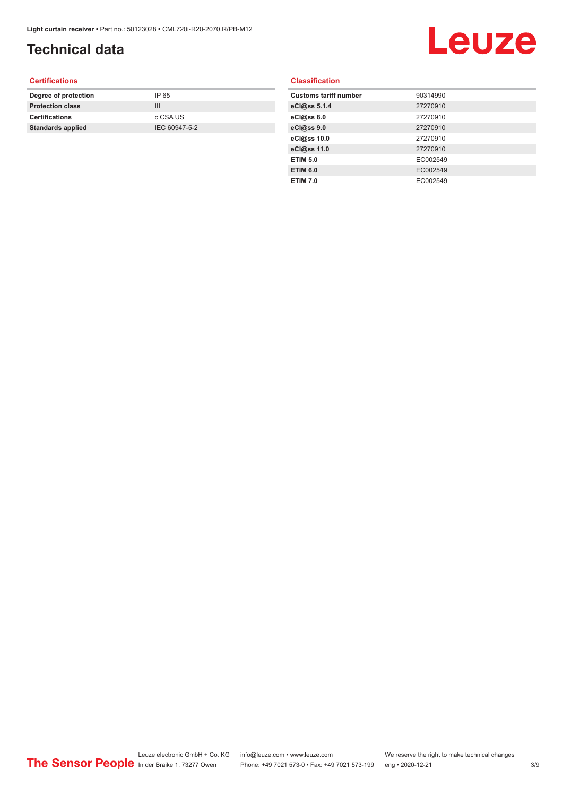## **Technical data**

## Leuze

#### **Certifications**

| Degree of protection     | IP 65         |
|--------------------------|---------------|
| <b>Protection class</b>  | Ш             |
| <b>Certifications</b>    | c CSA US      |
| <b>Standards applied</b> | IEC 60947-5-2 |
|                          |               |

#### **Classification**

| <b>Customs tariff number</b> | 90314990 |
|------------------------------|----------|
| eCl@ss 5.1.4                 | 27270910 |
| eCl@ss 8.0                   | 27270910 |
| eCl@ss 9.0                   | 27270910 |
| eCl@ss 10.0                  | 27270910 |
| eCl@ss 11.0                  | 27270910 |
| <b>ETIM 5.0</b>              | EC002549 |
| <b>ETIM 6.0</b>              | EC002549 |
| <b>ETIM 7.0</b>              | EC002549 |
|                              |          |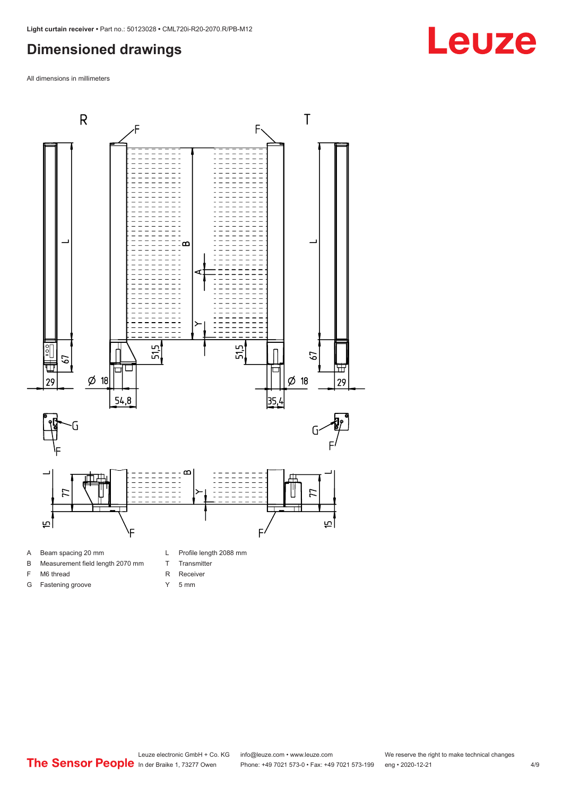#### <span id="page-3-0"></span>**Dimensioned drawings**

All dimensions in millimeters



- A Beam spacing 20 mm
- B Measurement field length 2070 mm
- F M6 thread
- G Fastening groove
- T Transmitter
- R Receiver
- Y 5 mm

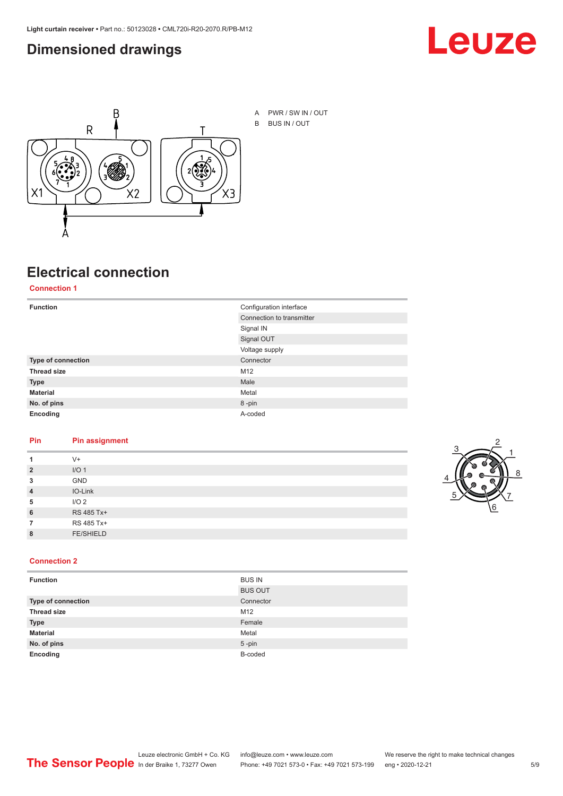#### <span id="page-4-0"></span>**Dimensioned drawings**





A PWR / SW IN / OUT B BUS IN / OUT

## **Electrical connection**

**Connection 1**

| <b>Function</b>    | Configuration interface   |  |
|--------------------|---------------------------|--|
|                    | Connection to transmitter |  |
|                    | Signal IN                 |  |
|                    | Signal OUT                |  |
|                    | Voltage supply            |  |
| Type of connection | Connector                 |  |
| <b>Thread size</b> | M12                       |  |
| <b>Type</b>        | Male                      |  |
| <b>Material</b>    | Metal                     |  |
| No. of pins        | 8-pin                     |  |
| Encoding           | A-coded                   |  |

#### **Pin Pin assignment**

|                | $V +$            |  |  |
|----------------|------------------|--|--|
| $\overline{2}$ | I/O <sub>1</sub> |  |  |
| 3              | <b>GND</b>       |  |  |
| $\overline{4}$ | IO-Link          |  |  |
| 5              | I/O <sub>2</sub> |  |  |
| 6              | RS 485 Tx+       |  |  |
|                | RS 485 Tx+       |  |  |
| 8              | <b>FE/SHIELD</b> |  |  |
|                |                  |  |  |



#### **Connection 2**

| <b>Function</b>    | <b>BUS IN</b>  |
|--------------------|----------------|
|                    | <b>BUS OUT</b> |
| Type of connection | Connector      |
| <b>Thread size</b> | M12            |
| <b>Type</b>        | Female         |
| <b>Material</b>    | Metal          |
| No. of pins        | $5$ -pin       |
| Encoding           | B-coded        |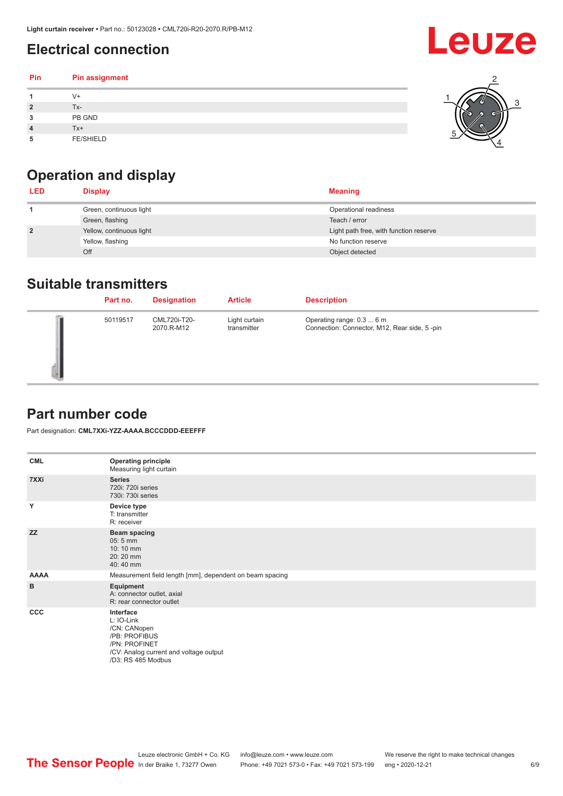## <span id="page-5-0"></span>**Electrical connection**

| Pin | Pin assignment   |  |
|-----|------------------|--|
|     | V+               |  |
| ∍   | Tx-              |  |
| 3   | PB GND           |  |
|     | $Tx+$            |  |
| 5   | <b>FE/SHIELD</b> |  |

## **Operation and display**

| <b>LED</b>     | <b>Display</b>           | <b>Meaning</b>                         |
|----------------|--------------------------|----------------------------------------|
|                | Green, continuous light  | Operational readiness                  |
|                | Green, flashing          | Teach / error                          |
| $\overline{2}$ | Yellow, continuous light | Light path free, with function reserve |
|                | Yellow, flashing         | No function reserve                    |
|                | Off                      | Object detected                        |

#### **Suitable transmitters**

| Part no. | <b>Designation</b>         | <b>Article</b>               | <b>Description</b>                                                        |
|----------|----------------------------|------------------------------|---------------------------------------------------------------------------|
| 50119517 | CML720i-T20-<br>2070.R-M12 | Light curtain<br>transmitter | Operating range: 0.3  6 m<br>Connection: Connector, M12, Rear side, 5-pin |

#### **Part number code**

Part designation: **CML7XXi-YZZ-AAAA.BCCCDDD-EEEFFF**

| <b>CML</b>  | <b>Operating principle</b><br>Measuring light curtain                                                                                     |
|-------------|-------------------------------------------------------------------------------------------------------------------------------------------|
| 7XXi        | <b>Series</b><br>720i: 720i series<br>730i: 730i series                                                                                   |
| Y           | Device type<br>T: transmitter<br>R: receiver                                                                                              |
| <b>ZZ</b>   | <b>Beam spacing</b><br>$05:5$ mm<br>10:10 mm<br>20:20 mm<br>40:40 mm                                                                      |
| <b>AAAA</b> | Measurement field length [mm], dependent on beam spacing                                                                                  |
| B           | Equipment<br>A: connector outlet, axial<br>R: rear connector outlet                                                                       |
| <b>CCC</b>  | Interface<br>L: IO-Link<br>/CN: CANopen<br>/PB: PROFIBUS<br>/PN: PROFINET<br>/CV: Analog current and voltage output<br>/D3: RS 485 Modbus |

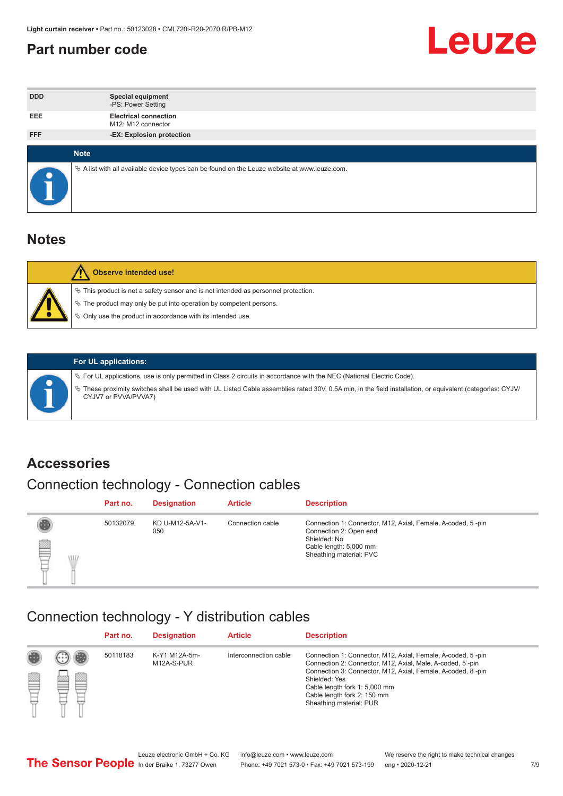#### <span id="page-6-0"></span>**Part number code**



| <b>DDD</b>  | <b>Special equipment</b><br>-PS: Power Setting                                                  |
|-------------|-------------------------------------------------------------------------------------------------|
| <b>EEE</b>  | <b>Electrical connection</b><br>M12: M12 connector                                              |
| <b>FFF</b>  | -EX: Explosion protection                                                                       |
|             |                                                                                                 |
| <b>Note</b> |                                                                                                 |
|             | $\&$ A list with all available device types can be found on the Leuze website at www.leuze.com. |

#### **Notes**

| <b>Observe intended use!</b>                                                                                                                                                                                                  |
|-------------------------------------------------------------------------------------------------------------------------------------------------------------------------------------------------------------------------------|
| $\%$ This product is not a safety sensor and is not intended as personnel protection.<br>$\%$ The product may only be put into operation by competent persons.<br>♦ Only use the product in accordance with its intended use. |



#### **For UL applications:**

ª For UL applications, use is only permitted in Class 2 circuits in accordance with the NEC (National Electric Code). ª These proximity switches shall be used with UL Listed Cable assemblies rated 30V, 0.5A min, in the field installation, or equivalent (categories: CYJV/ CYJV7 or PVVA/PVVA7)

#### **Accessories**

### Connection technology - Connection cables

|        | Part no. | <b>Designation</b>     | <b>Article</b>   | <b>Description</b>                                                                                                                                         |
|--------|----------|------------------------|------------------|------------------------------------------------------------------------------------------------------------------------------------------------------------|
| 2<br>W | 50132079 | KD U-M12-5A-V1-<br>050 | Connection cable | Connection 1: Connector, M12, Axial, Female, A-coded, 5-pin<br>Connection 2: Open end<br>Shielded: No<br>Cable length: 5,000 mm<br>Sheathing material: PVC |

#### Connection technology - Y distribution cables

|        |   | Part no. | <b>Designation</b>          | <b>Article</b>        | <b>Description</b>                                                                                                                                                                                                                                                                                  |
|--------|---|----------|-----------------------------|-----------------------|-----------------------------------------------------------------------------------------------------------------------------------------------------------------------------------------------------------------------------------------------------------------------------------------------------|
| 圔<br>⋿ | Ø | 50118183 | K-Y1 M12A-5m-<br>M12A-S-PUR | Interconnection cable | Connection 1: Connector, M12, Axial, Female, A-coded, 5-pin<br>Connection 2: Connector, M12, Axial, Male, A-coded, 5-pin<br>Connection 3: Connector, M12, Axial, Female, A-coded, 8-pin<br>Shielded: Yes<br>Cable length fork 1: 5,000 mm<br>Cable length fork 2: 150 mm<br>Sheathing material: PUR |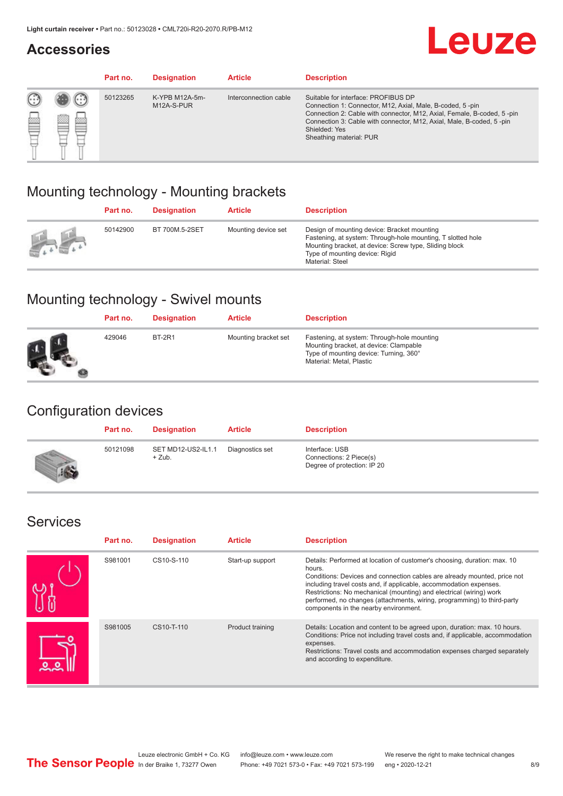#### **Accessories**

## **Leuze**

|   |            | Part no. | <b>Designation</b>           | <b>Article</b>        | <b>Description</b>                                                                                                                                                                                                                                                                             |
|---|------------|----------|------------------------------|-----------------------|------------------------------------------------------------------------------------------------------------------------------------------------------------------------------------------------------------------------------------------------------------------------------------------------|
| œ | 83<br>toni | 50123265 | K-YPB M12A-5m-<br>M12A-S-PUR | Interconnection cable | Suitable for interface: PROFIBUS DP<br>Connection 1: Connector, M12, Axial, Male, B-coded, 5-pin<br>Connection 2: Cable with connector, M12, Axial, Female, B-coded, 5-pin<br>Connection 3: Cable with connector, M12, Axial, Male, B-coded, 5-pin<br>Shielded: Yes<br>Sheathing material: PUR |

#### Mounting technology - Mounting brackets

|               | Part no. | <b>Designation</b> | <b>Article</b>      | <b>Description</b>                                                                                                                                                                                                        |
|---------------|----------|--------------------|---------------------|---------------------------------------------------------------------------------------------------------------------------------------------------------------------------------------------------------------------------|
| $\frac{1}{2}$ | 50142900 | BT 700M.5-2SET     | Mounting device set | Design of mounting device: Bracket mounting<br>Fastening, at system: Through-hole mounting, T slotted hole<br>Mounting bracket, at device: Screw type, Sliding block<br>Type of mounting device: Rigid<br>Material: Steel |

### Mounting technology - Swivel mounts

| Part no. | <b>Designation</b> | <b>Article</b>       | <b>Description</b>                                                                                                                                          |
|----------|--------------------|----------------------|-------------------------------------------------------------------------------------------------------------------------------------------------------------|
| 429046   | <b>BT-2R1</b>      | Mounting bracket set | Fastening, at system: Through-hole mounting<br>Mounting bracket, at device: Clampable<br>Type of mounting device: Turning, 360°<br>Material: Metal, Plastic |

#### Configuration devices

| Part no. | <b>Designation</b>             | <b>Article</b>  | <b>Description</b>                                                       |
|----------|--------------------------------|-----------------|--------------------------------------------------------------------------|
| 50121098 | SET MD12-US2-IL1.1<br>$+$ Zub. | Diagnostics set | Interface: USB<br>Connections: 2 Piece(s)<br>Degree of protection: IP 20 |

#### Services

| Part no. | <b>Designation</b> | <b>Article</b>   | <b>Description</b>                                                                                                                                                                                                                                                                                                                                                                                                              |
|----------|--------------------|------------------|---------------------------------------------------------------------------------------------------------------------------------------------------------------------------------------------------------------------------------------------------------------------------------------------------------------------------------------------------------------------------------------------------------------------------------|
| S981001  | CS10-S-110         | Start-up support | Details: Performed at location of customer's choosing, duration: max. 10<br>hours.<br>Conditions: Devices and connection cables are already mounted, price not<br>including travel costs and, if applicable, accommodation expenses.<br>Restrictions: No mechanical (mounting) and electrical (wiring) work<br>performed, no changes (attachments, wiring, programming) to third-party<br>components in the nearby environment. |
| S981005  | CS10-T-110         | Product training | Details: Location and content to be agreed upon, duration: max. 10 hours.<br>Conditions: Price not including travel costs and, if applicable, accommodation<br>expenses.<br>Restrictions: Travel costs and accommodation expenses charged separately<br>and according to expenditure.                                                                                                                                           |